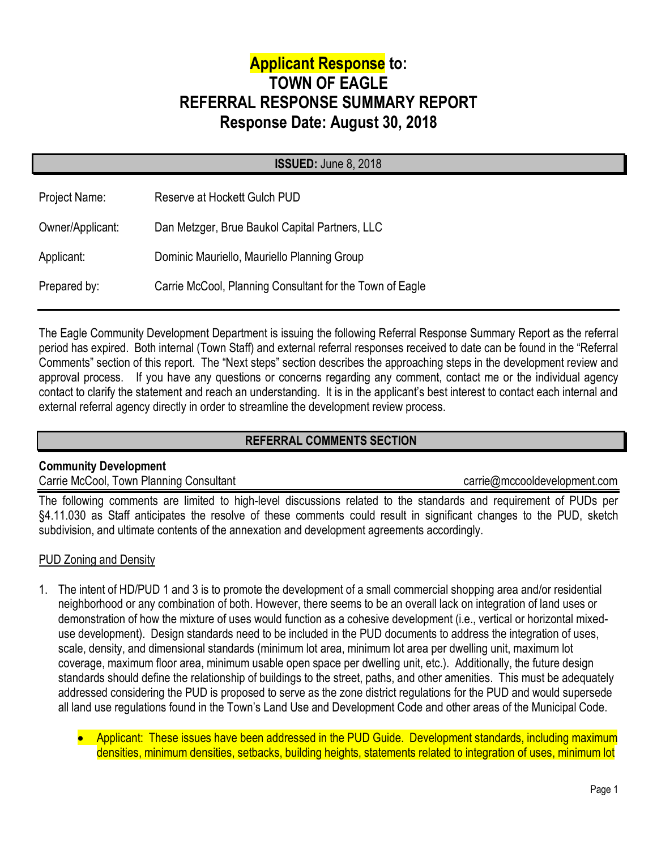# **Applicant Response to: TOWN OF EAGLE REFERRAL RESPONSE SUMMARY REPORT Response Date: August 30, 2018**

|                  | <b>ISSUED: June 8, 2018</b>                              |
|------------------|----------------------------------------------------------|
| Project Name:    | Reserve at Hockett Gulch PUD                             |
| Owner/Applicant: | Dan Metzger, Brue Baukol Capital Partners, LLC           |
| Applicant:       | Dominic Mauriello, Mauriello Planning Group              |
| Prepared by:     | Carrie McCool, Planning Consultant for the Town of Eagle |
|                  |                                                          |

The Eagle Community Development Department is issuing the following Referral Response Summary Report as the referral period has expired. Both internal (Town Staff) and external referral responses received to date can be found in the "Referral Comments" section of this report. The "Next steps" section describes the approaching steps in the development review and approval process. If you have any questions or concerns regarding any comment, contact me or the individual agency contact to clarify the statement and reach an understanding. It is in the applicant's best interest to contact each internal and external referral agency directly in order to streamline the development review process.

# **REFERRAL COMMENTS SECTION**

# **Community Development**

# Carrie McCool, Town Planning Consultant carriem and the carriem carriem carriem condevelopment.com

The following comments are limited to high-level discussions related to the standards and requirement of PUDs per §4.11.030 as Staff anticipates the resolve of these comments could result in significant changes to the PUD, sketch subdivision, and ultimate contents of the annexation and development agreements accordingly.

# **PUD Zoning and Density**

- 1. The intent of HD/PUD 1 and 3 is to promote the development of a small commercial shopping area and/or residential neighborhood or any combination of both. However, there seems to be an overall lack on integration of land uses or demonstration of how the mixture of uses would function as a cohesive development (i.e., vertical or horizontal mixeduse development). Design standards need to be included in the PUD documents to address the integration of uses, scale, density, and dimensional standards (minimum lot area, minimum lot area per dwelling unit, maximum lot coverage, maximum floor area, minimum usable open space per dwelling unit, etc.). Additionally, the future design standards should define the relationship of buildings to the street, paths, and other amenities. This must be adequately addressed considering the PUD is proposed to serve as the zone district regulations for the PUD and would supersede all land use regulations found in the Town's Land Use and Development Code and other areas of the Municipal Code.
	- Applicant: These issues have been addressed in the PUD Guide. Development standards, including maximum densities, minimum densities, setbacks, building heights, statements related to integration of uses, minimum lot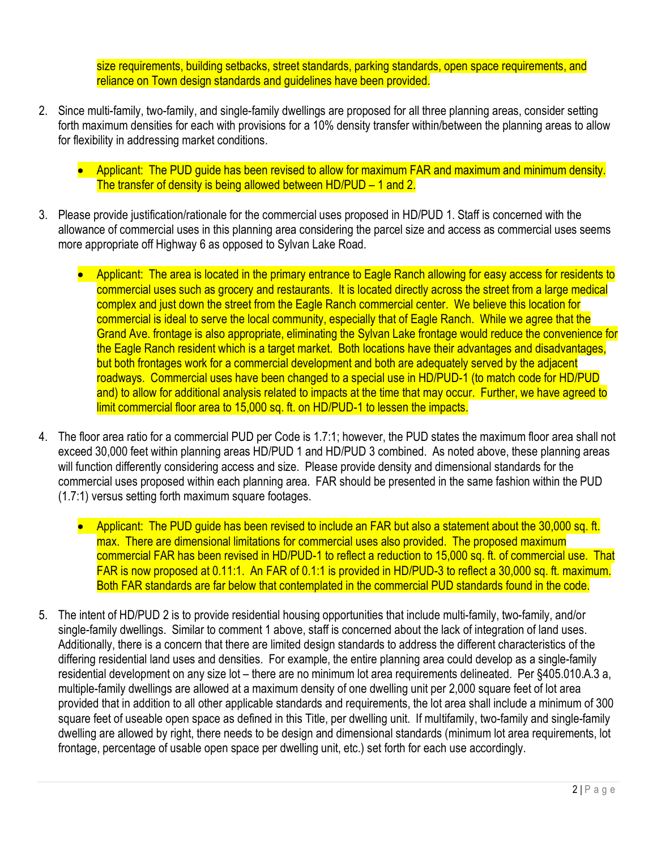size requirements, building setbacks, street standards, parking standards, open space requirements, and reliance on Town design standards and guidelines have been provided.

- 2. Since multi-family, two-family, and single-family dwellings are proposed for all three planning areas, consider setting forth maximum densities for each with provisions for a 10% density transfer within/between the planning areas to allow for flexibility in addressing market conditions.
	- Applicant: The PUD guide has been revised to allow for maximum FAR and maximum and minimum density. The transfer of density is being allowed between HD/PUD – 1 and 2.
- 3. Please provide justification/rationale for the commercial uses proposed in HD/PUD 1. Staff is concerned with the allowance of commercial uses in this planning area considering the parcel size and access as commercial uses seems more appropriate off Highway 6 as opposed to Sylvan Lake Road.
	- Applicant: The area is located in the primary entrance to Eagle Ranch allowing for easy access for residents to commercial uses such as grocery and restaurants. It is located directly across the street from a large medical complex and just down the street from the Eagle Ranch commercial center. We believe this location for commercial is ideal to serve the local community, especially that of Eagle Ranch. While we agree that the Grand Ave. frontage is also appropriate, eliminating the Sylvan Lake frontage would reduce the convenience for the Eagle Ranch resident which is a target market. Both locations have their advantages and disadvantages, but both frontages work for a commercial development and both are adequately served by the adjacent roadways. Commercial uses have been changed to a special use in HD/PUD-1 (to match code for HD/PUD and) to allow for additional analysis related to impacts at the time that may occur. Further, we have agreed to limit commercial floor area to 15,000 sq. ft. on HD/PUD-1 to lessen the impacts.
- 4. The floor area ratio for a commercial PUD per Code is 1.7:1; however, the PUD states the maximum floor area shall not exceed 30,000 feet within planning areas HD/PUD 1 and HD/PUD 3 combined. As noted above, these planning areas will function differently considering access and size. Please provide density and dimensional standards for the commercial uses proposed within each planning area. FAR should be presented in the same fashion within the PUD (1.7:1) versus setting forth maximum square footages.
	- Applicant: The PUD guide has been revised to include an FAR but also a statement about the 30,000 sq. ft. max. There are dimensional limitations for commercial uses also provided. The proposed maximum commercial FAR has been revised in HD/PUD-1 to reflect a reduction to 15,000 sq. ft. of commercial use. That FAR is now proposed at 0.11:1. An FAR of 0.1:1 is provided in HD/PUD-3 to reflect a 30,000 sq. ft. maximum. Both FAR standards are far below that contemplated in the commercial PUD standards found in the code.
- 5. The intent of HD/PUD 2 is to provide residential housing opportunities that include multi-family, two-family, and/or single-family dwellings. Similar to comment 1 above, staff is concerned about the lack of integration of land uses. Additionally, there is a concern that there are limited design standards to address the different characteristics of the differing residential land uses and densities. For example, the entire planning area could develop as a single-family residential development on any size lot – there are no minimum lot area requirements delineated. Per §405.010.A.3 a, multiple-family dwellings are allowed at a maximum density of one dwelling unit per 2,000 square feet of lot area provided that in addition to all other applicable standards and requirements, the lot area shall include a minimum of 300 square feet of useable open space as defined in this Title, per dwelling unit. If multifamily, two-family and single-family dwelling are allowed by right, there needs to be design and dimensional standards (minimum lot area requirements, lot frontage, percentage of usable open space per dwelling unit, etc.) set forth for each use accordingly.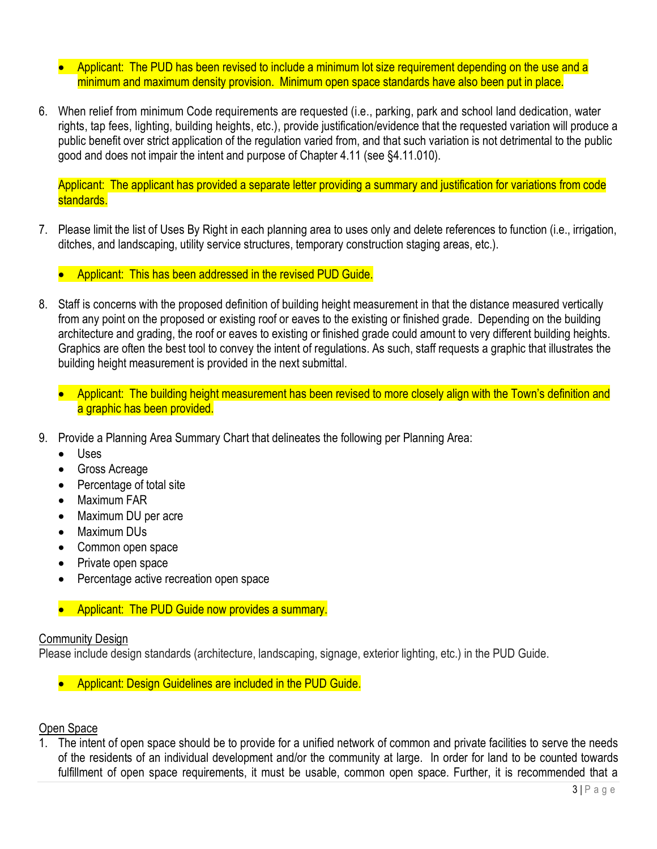- Applicant: The PUD has been revised to include a minimum lot size requirement depending on the use and a minimum and maximum density provision. Minimum open space standards have also been put in place.
- 6. When relief from minimum Code requirements are requested (i.e., parking, park and school land dedication, water rights, tap fees, lighting, building heights, etc.), provide justification/evidence that the requested variation will produce a public benefit over strict application of the regulation varied from, and that such variation is not detrimental to the public good and does not impair the intent and purpose of Chapter 4.11 (see §4.11.010).

Applicant: The applicant has provided a separate letter providing a summary and justification for variations from code standards.

- 7. Please limit the list of Uses By Right in each planning area to uses only and delete references to function (i.e., irrigation, ditches, and landscaping, utility service structures, temporary construction staging areas, etc.).
	- Applicant: This has been addressed in the revised PUD Guide.
- 8. Staff is concerns with the proposed definition of building height measurement in that the distance measured vertically from any point on the proposed or existing roof or eaves to the existing or finished grade. Depending on the building architecture and grading, the roof or eaves to existing or finished grade could amount to very different building heights. Graphics are often the best tool to convey the intent of regulations. As such, staff requests a graphic that illustrates the building height measurement is provided in the next submittal.
	- Applicant: The building height measurement has been revised to more closely align with the Town's definition and a graphic has been provided.
- 9. Provide a Planning Area Summary Chart that delineates the following per Planning Area:
	- Uses
	- Gross Acreage
	- Percentage of total site
	- Maximum FAR
	- Maximum DU per acre
	- Maximum DUs
	- Common open space
	- Private open space
	- Percentage active recreation open space
	- Applicant: The PUD Guide now provides a summary.

#### Community Design

Please include design standards (architecture, landscaping, signage, exterior lighting, etc.) in the PUD Guide.

• Applicant: Design Guidelines are included in the PUD Guide.

# Open Space

1. The intent of open space should be to provide for a unified network of common and private facilities to serve the needs of the residents of an individual development and/or the community at large. In order for land to be counted towards fulfillment of open space requirements, it must be usable, common open space. Further, it is recommended that a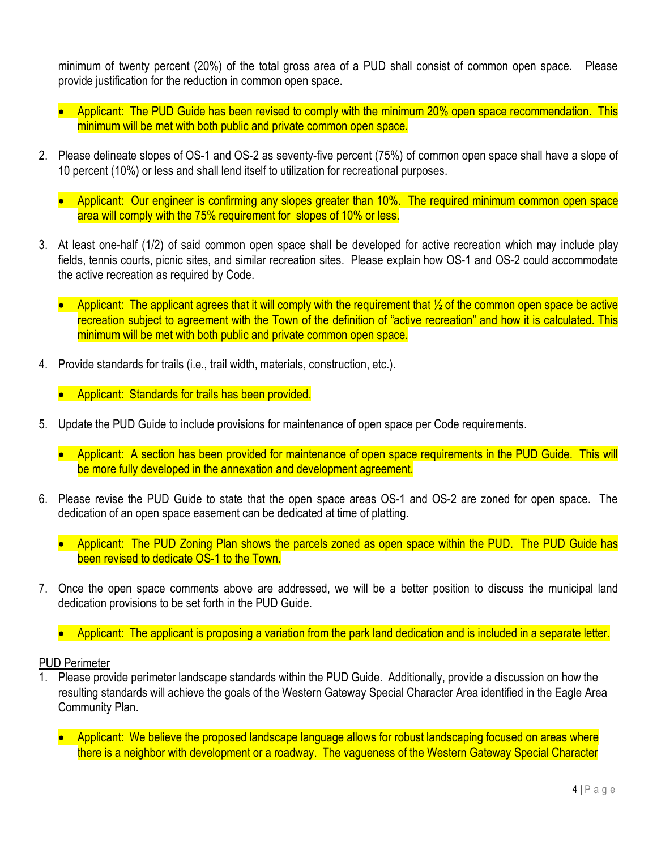minimum of twenty percent (20%) of the total gross area of a PUD shall consist of common open space. Please provide justification for the reduction in common open space.

- Applicant: The PUD Guide has been revised to comply with the minimum 20% open space recommendation. This minimum will be met with both public and private common open space.
- 2. Please delineate slopes of OS-1 and OS-2 as seventy-five percent (75%) of common open space shall have a slope of 10 percent (10%) or less and shall lend itself to utilization for recreational purposes.
	- Applicant: Our engineer is confirming any slopes greater than 10%. The required minimum common open space area will comply with the 75% requirement for slopes of 10% or less.
- 3. At least one-half (1/2) of said common open space shall be developed for active recreation which may include play fields, tennis courts, picnic sites, and similar recreation sites. Please explain how OS-1 and OS-2 could accommodate the active recreation as required by Code.
	- Applicant: The applicant agrees that it will comply with the requirement that  $\frac{1}{2}$  of the common open space be active recreation subject to agreement with the Town of the definition of "active recreation" and how it is calculated. This minimum will be met with both public and private common open space.
- 4. Provide standards for trails (i.e., trail width, materials, construction, etc.).
	- Applicant: Standards for trails has been provided.
- 5. Update the PUD Guide to include provisions for maintenance of open space per Code requirements.
	- Applicant: A section has been provided for maintenance of open space requirements in the PUD Guide. This will be more fully developed in the annexation and development agreement.
- 6. Please revise the PUD Guide to state that the open space areas OS-1 and OS-2 are zoned for open space. The dedication of an open space easement can be dedicated at time of platting.
	- Applicant: The PUD Zoning Plan shows the parcels zoned as open space within the PUD. The PUD Guide has been revised to dedicate OS-1 to the Town.
- 7. Once the open space comments above are addressed, we will be a better position to discuss the municipal land dedication provisions to be set forth in the PUD Guide.
	- Applicant: The applicant is proposing a variation from the park land dedication and is included in a separate letter.

PUD Perimeter

- 1. Please provide perimeter landscape standards within the PUD Guide. Additionally, provide a discussion on how the resulting standards will achieve the goals of the Western Gateway Special Character Area identified in the Eagle Area Community Plan.
	- Applicant: We believe the proposed landscape language allows for robust landscaping focused on areas where there is a neighbor with development or a roadway. The vagueness of the Western Gateway Special Character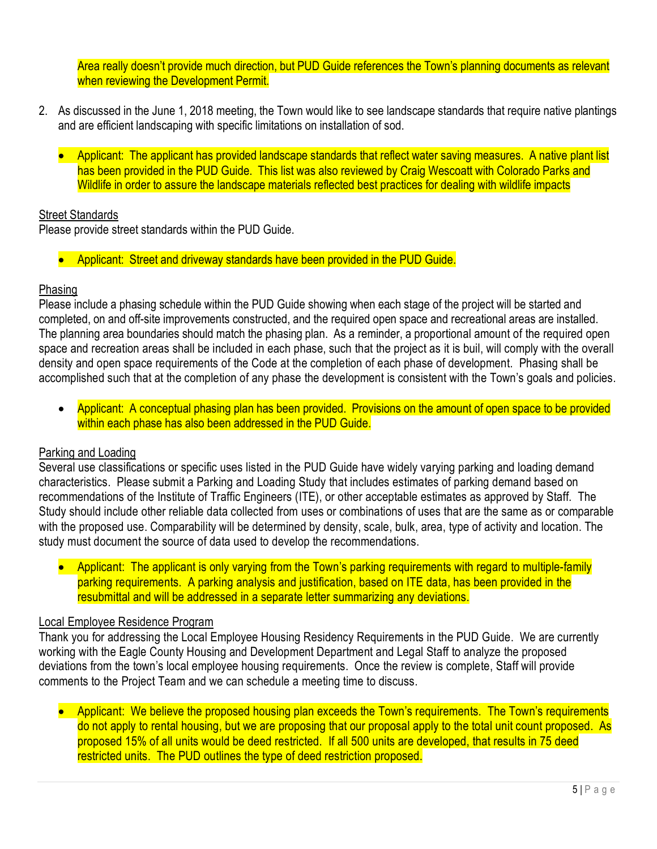Area really doesn't provide much direction, but PUD Guide references the Town's planning documents as relevant when reviewing the Development Permit.

- 2. As discussed in the June 1, 2018 meeting, the Town would like to see landscape standards that require native plantings and are efficient landscaping with specific limitations on installation of sod.
	- Applicant: The applicant has provided landscape standards that reflect water saving measures. A native plant list has been provided in the PUD Guide. This list was also reviewed by Craig Wescoatt with Colorado Parks and Wildlife in order to assure the landscape materials reflected best practices for dealing with wildlife impacts

#### Street Standards

Please provide street standards within the PUD Guide.

• Applicant: Street and driveway standards have been provided in the PUD Guide.

#### Phasing

Please include a phasing schedule within the PUD Guide showing when each stage of the project will be started and completed, on and off-site improvements constructed, and the required open space and recreational areas are installed. The planning area boundaries should match the phasing plan. As a reminder, a proportional amount of the required open space and recreation areas shall be included in each phase, such that the project as it is buil, will comply with the overall density and open space requirements of the Code at the completion of each phase of development. Phasing shall be accomplished such that at the completion of any phase the development is consistent with the Town's goals and policies.

• Applicant: A conceptual phasing plan has been provided. Provisions on the amount of open space to be provided within each phase has also been addressed in the PUD Guide.

# Parking and Loading

Several use classifications or specific uses listed in the PUD Guide have widely varying parking and loading demand characteristics. Please submit a Parking and Loading Study that includes estimates of parking demand based on recommendations of the Institute of Traffic Engineers (ITE), or other acceptable estimates as approved by Staff. The Study should include other reliable data collected from uses or combinations of uses that are the same as or comparable with the proposed use. Comparability will be determined by density, scale, bulk, area, type of activity and location. The study must document the source of data used to develop the recommendations.

• Applicant: The applicant is only varying from the Town's parking requirements with regard to multiple-family parking requirements. A parking analysis and justification, based on ITE data, has been provided in the resubmittal and will be addressed in a separate letter summarizing any deviations.

#### Local Employee Residence Program

Thank you for addressing the Local Employee Housing Residency Requirements in the PUD Guide. We are currently working with the Eagle County Housing and Development Department and Legal Staff to analyze the proposed deviations from the town's local employee housing requirements. Once the review is complete, Staff will provide comments to the Project Team and we can schedule a meeting time to discuss.

• Applicant: We believe the proposed housing plan exceeds the Town's requirements. The Town's requirements do not apply to rental housing, but we are proposing that our proposal apply to the total unit count proposed. As proposed 15% of all units would be deed restricted. If all 500 units are developed, that results in 75 deed restricted units. The PUD outlines the type of deed restriction proposed.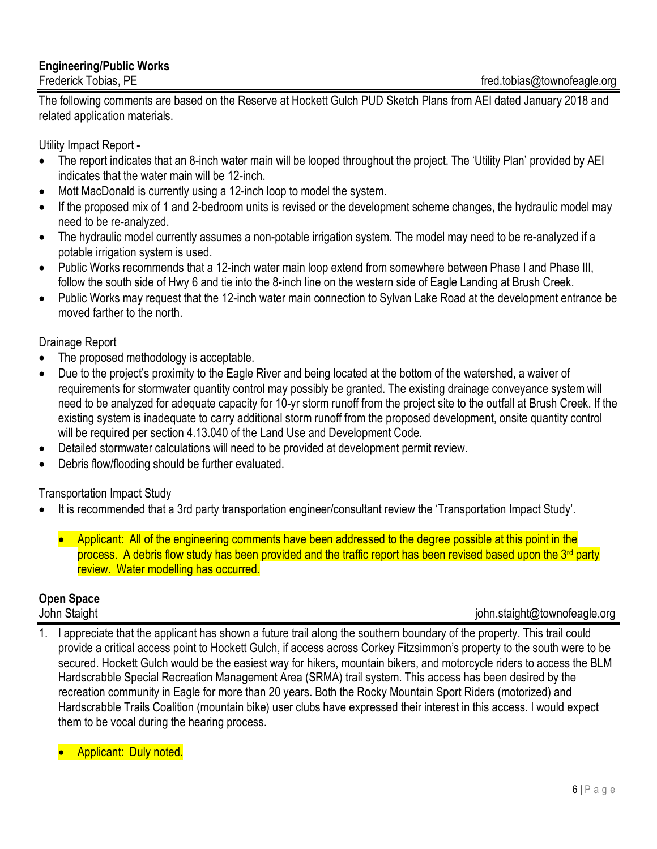# **Engineering/Public Works**

The following comments are based on the Reserve at Hockett Gulch PUD Sketch Plans from AEI dated January 2018 and related application materials.

Utility Impact Report -

- The report indicates that an 8-inch water main will be looped throughout the project. The 'Utility Plan' provided by AEI indicates that the water main will be 12-inch.
- Mott MacDonald is currently using a 12-inch loop to model the system.
- If the proposed mix of 1 and 2-bedroom units is revised or the development scheme changes, the hydraulic model may need to be re-analyzed.
- The hydraulic model currently assumes a non-potable irrigation system. The model may need to be re-analyzed if a potable irrigation system is used.
- Public Works recommends that a 12-inch water main loop extend from somewhere between Phase I and Phase III, follow the south side of Hwy 6 and tie into the 8-inch line on the western side of Eagle Landing at Brush Creek.
- Public Works may request that the 12-inch water main connection to Sylvan Lake Road at the development entrance be moved farther to the north.

# Drainage Report

- The proposed methodology is acceptable.
- Due to the project's proximity to the Eagle River and being located at the bottom of the watershed, a waiver of requirements for stormwater quantity control may possibly be granted. The existing drainage conveyance system will need to be analyzed for adequate capacity for 10-yr storm runoff from the project site to the outfall at Brush Creek. If the existing system is inadequate to carry additional storm runoff from the proposed development, onsite quantity control will be required per section 4.13.040 of the Land Use and Development Code.
- Detailed stormwater calculations will need to be provided at development permit review.
- Debris flow/flooding should be further evaluated.

Transportation Impact Study

- It is recommended that a 3rd party transportation engineer/consultant review the 'Transportation Impact Study'.
	- Applicant: All of the engineering comments have been addressed to the degree possible at this point in the process. A debris flow study has been provided and the traffic report has been revised based upon the 3<sup>rd</sup> party review. Water modelling has occurred.

# **Open Space**

# John Staight john.staight@townofeagle.org

- 1. I appreciate that the applicant has shown a future trail along the southern boundary of the property. This trail could provide a critical access point to Hockett Gulch, if access across Corkey Fitzsimmon's property to the south were to be secured. Hockett Gulch would be the easiest way for hikers, mountain bikers, and motorcycle riders to access the BLM Hardscrabble Special Recreation Management Area (SRMA) trail system. This access has been desired by the recreation community in Eagle for more than 20 years. Both the Rocky Mountain Sport Riders (motorized) and Hardscrabble Trails Coalition (mountain bike) user clubs have expressed their interest in this access. I would expect them to be vocal during the hearing process.
	- Applicant: Duly noted.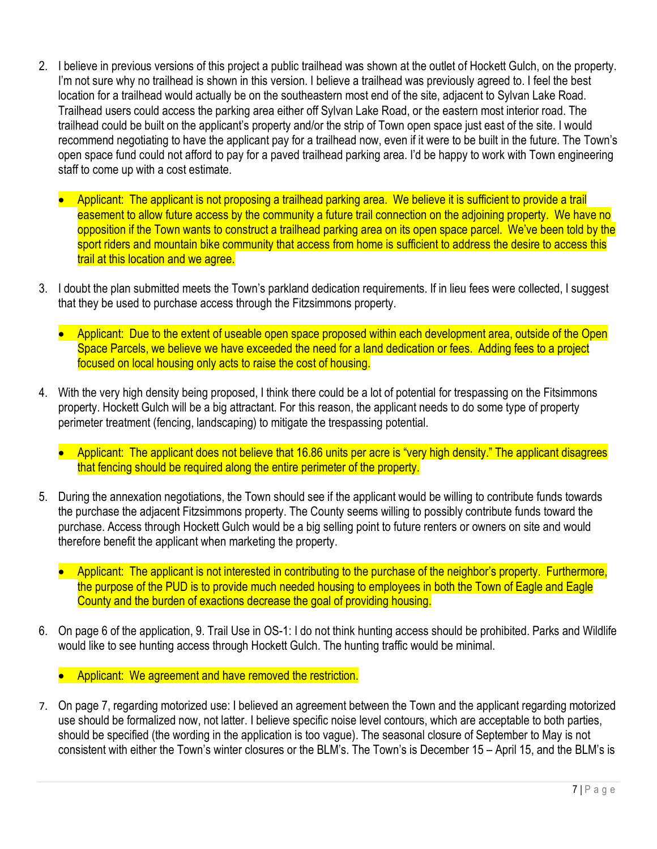- 2. I believe in previous versions of this project a public trailhead was shown at the outlet of Hockett Gulch, on the property. I'm not sure why no trailhead is shown in this version. I believe a trailhead was previously agreed to. I feel the best location for a trailhead would actually be on the southeastern most end of the site, adjacent to Sylvan Lake Road. Trailhead users could access the parking area either off Sylvan Lake Road, or the eastern most interior road. The trailhead could be built on the applicant's property and/or the strip of Town open space just east of the site. I would recommend negotiating to have the applicant pay for a trailhead now, even if it were to be built in the future. The Town's open space fund could not afford to pay for a paved trailhead parking area. I'd be happy to work with Town engineering staff to come up with a cost estimate.
	- Applicant: The applicant is not proposing a trailhead parking area. We believe it is sufficient to provide a trail easement to allow future access by the community a future trail connection on the adjoining property. We have no opposition if the Town wants to construct a trailhead parking area on its open space parcel. We've been told by the sport riders and mountain bike community that access from home is sufficient to address the desire to access this trail at this location and we agree.
- 3. I doubt the plan submitted meets the Town's parkland dedication requirements. If in lieu fees were collected, I suggest that they be used to purchase access through the Fitzsimmons property.
	- Applicant: Due to the extent of useable open space proposed within each development area, outside of the Open Space Parcels, we believe we have exceeded the need for a land dedication or fees. Adding fees to a project focused on local housing only acts to raise the cost of housing.
- 4. With the very high density being proposed, I think there could be a lot of potential for trespassing on the Fitsimmons property. Hockett Gulch will be a big attractant. For this reason, the applicant needs to do some type of property perimeter treatment (fencing, landscaping) to mitigate the trespassing potential.
	- Applicant: The applicant does not believe that 16.86 units per acre is "very high density." The applicant disagrees that fencing should be required along the entire perimeter of the property.
- 5. During the annexation negotiations, the Town should see if the applicant would be willing to contribute funds towards the purchase the adjacent Fitzsimmons property. The County seems willing to possibly contribute funds toward the purchase. Access through Hockett Gulch would be a big selling point to future renters or owners on site and would therefore benefit the applicant when marketing the property.
	- Applicant: The applicant is not interested in contributing to the purchase of the neighbor's property. Furthermore, the purpose of the PUD is to provide much needed housing to employees in both the Town of Eagle and Eagle County and the burden of exactions decrease the goal of providing housing.
- 6. On page 6 of the application, 9. Trail Use in OS-1: I do not think hunting access should be prohibited. Parks and Wildlife would like to see hunting access through Hockett Gulch. The hunting traffic would be minimal.
	- Applicant: We agreement and have removed the restriction.
- 7. On page 7, regarding motorized use: I believed an agreement between the Town and the applicant regarding motorized use should be formalized now, not latter. I believe specific noise level contours, which are acceptable to both parties, should be specified (the wording in the application is too vague). The seasonal closure of September to May is not consistent with either the Town's winter closures or the BLM's. The Town's is December 15 – April 15, and the BLM's is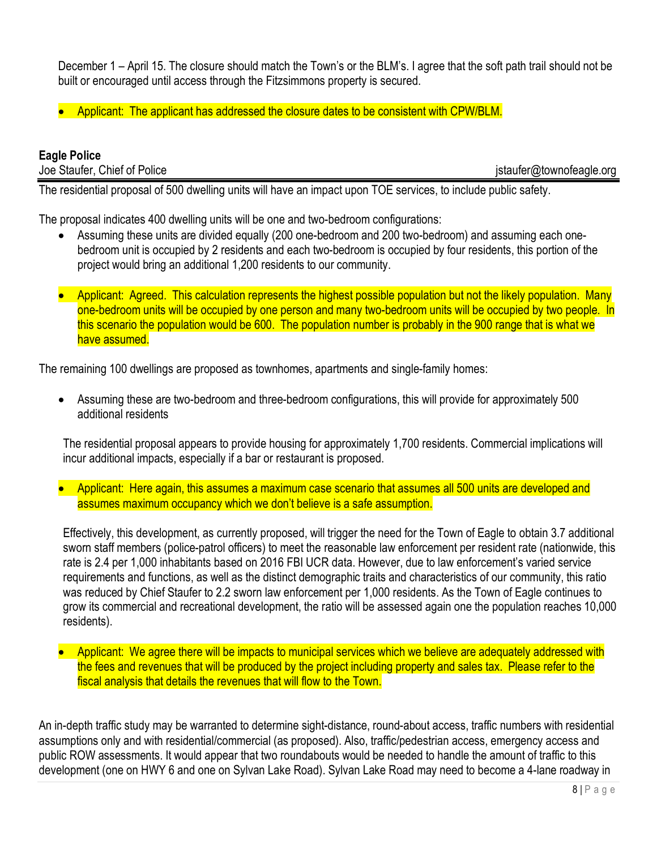December 1 – April 15. The closure should match the Town's or the BLM's. I agree that the soft path trail should not be built or encouraged until access through the Fitzsimmons property is secured.

• Applicant: The applicant has addressed the closure dates to be consistent with CPW/BLM.

# **Eagle Police**

Joe Staufer, Chief of Police jstaufer@townofeagle.org

The residential proposal of 500 dwelling units will have an impact upon TOE services, to include public safety.

The proposal indicates 400 dwelling units will be one and two-bedroom configurations:

- Assuming these units are divided equally (200 one-bedroom and 200 two-bedroom) and assuming each onebedroom unit is occupied by 2 residents and each two-bedroom is occupied by four residents, this portion of the project would bring an additional 1,200 residents to our community.
- Applicant: Agreed. This calculation represents the highest possible population but not the likely population. Many one-bedroom units will be occupied by one person and many two-bedroom units will be occupied by two people. In this scenario the population would be 600. The population number is probably in the 900 range that is what we have assumed.

The remaining 100 dwellings are proposed as townhomes, apartments and single-family homes:

• Assuming these are two-bedroom and three-bedroom configurations, this will provide for approximately 500 additional residents

The residential proposal appears to provide housing for approximately 1,700 residents. Commercial implications will incur additional impacts, especially if a bar or restaurant is proposed.

• Applicant: Here again, this assumes a maximum case scenario that assumes all 500 units are developed and assumes maximum occupancy which we don't believe is a safe assumption.

Effectively, this development, as currently proposed, will trigger the need for the Town of Eagle to obtain 3.7 additional sworn staff members (police-patrol officers) to meet the reasonable law enforcement per resident rate (nationwide, this rate is 2.4 per 1,000 inhabitants based on 2016 FBI UCR data. However, due to law enforcement's varied service requirements and functions, as well as the distinct demographic traits and characteristics of our community, this ratio was reduced by Chief Staufer to 2.2 sworn law enforcement per 1,000 residents. As the Town of Eagle continues to grow its commercial and recreational development, the ratio will be assessed again one the population reaches 10,000 residents).

• Applicant: We agree there will be impacts to municipal services which we believe are adequately addressed with the fees and revenues that will be produced by the project including property and sales tax. Please refer to the fiscal analysis that details the revenues that will flow to the Town.

An in-depth traffic study may be warranted to determine sight-distance, round-about access, traffic numbers with residential assumptions only and with residential/commercial (as proposed). Also, traffic/pedestrian access, emergency access and public ROW assessments. It would appear that two roundabouts would be needed to handle the amount of traffic to this development (one on HWY 6 and one on Sylvan Lake Road). Sylvan Lake Road may need to become a 4-lane roadway in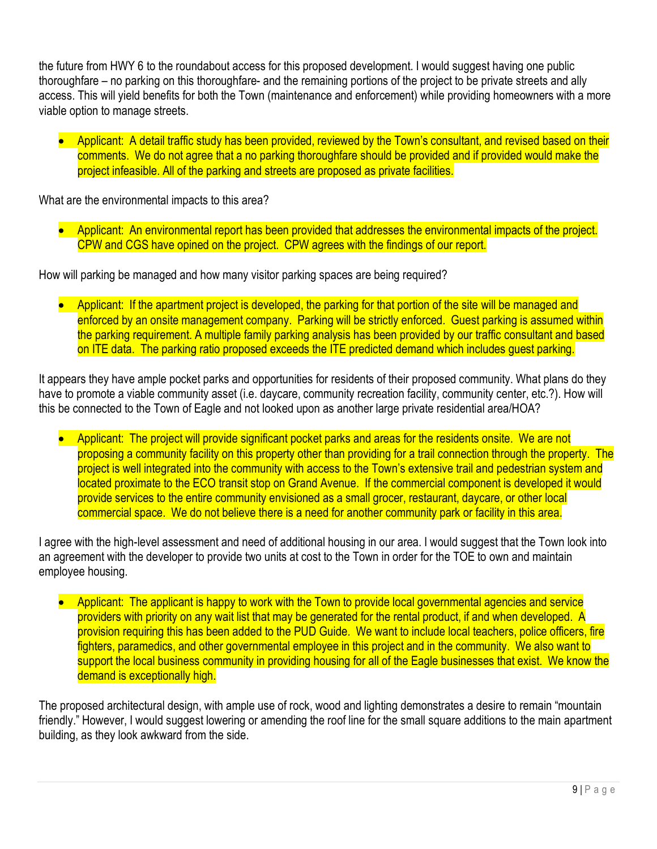the future from HWY 6 to the roundabout access for this proposed development. I would suggest having one public thoroughfare – no parking on this thoroughfare- and the remaining portions of the project to be private streets and ally access. This will yield benefits for both the Town (maintenance and enforcement) while providing homeowners with a more viable option to manage streets.

• Applicant: A detail traffic study has been provided, reviewed by the Town's consultant, and revised based on their comments. We do not agree that a no parking thoroughfare should be provided and if provided would make the project infeasible. All of the parking and streets are proposed as private facilities.

What are the environmental impacts to this area?

• Applicant: An environmental report has been provided that addresses the environmental impacts of the project. CPW and CGS have opined on the project. CPW agrees with the findings of our report.

How will parking be managed and how many visitor parking spaces are being required?

• Applicant: If the apartment project is developed, the parking for that portion of the site will be managed and enforced by an onsite management company. Parking will be strictly enforced. Guest parking is assumed within the parking requirement. A multiple family parking analysis has been provided by our traffic consultant and based on ITE data. The parking ratio proposed exceeds the ITE predicted demand which includes guest parking.

It appears they have ample pocket parks and opportunities for residents of their proposed community. What plans do they have to promote a viable community asset (i.e. daycare, community recreation facility, community center, etc.?). How will this be connected to the Town of Eagle and not looked upon as another large private residential area/HOA?

• Applicant: The project will provide significant pocket parks and areas for the residents onsite. We are not proposing a community facility on this property other than providing for a trail connection through the property. The project is well integrated into the community with access to the Town's extensive trail and pedestrian system and located proximate to the ECO transit stop on Grand Avenue. If the commercial component is developed it would provide services to the entire community envisioned as a small grocer, restaurant, daycare, or other local commercial space. We do not believe there is a need for another community park or facility in this area.

I agree with the high-level assessment and need of additional housing in our area. I would suggest that the Town look into an agreement with the developer to provide two units at cost to the Town in order for the TOE to own and maintain employee housing.

• Applicant: The applicant is happy to work with the Town to provide local governmental agencies and service providers with priority on any wait list that may be generated for the rental product, if and when developed. A provision requiring this has been added to the PUD Guide. We want to include local teachers, police officers, fire fighters, paramedics, and other governmental employee in this project and in the community. We also want to support the local business community in providing housing for all of the Eagle businesses that exist. We know the demand is exceptionally high.

The proposed architectural design, with ample use of rock, wood and lighting demonstrates a desire to remain "mountain friendly." However, I would suggest lowering or amending the roof line for the small square additions to the main apartment building, as they look awkward from the side.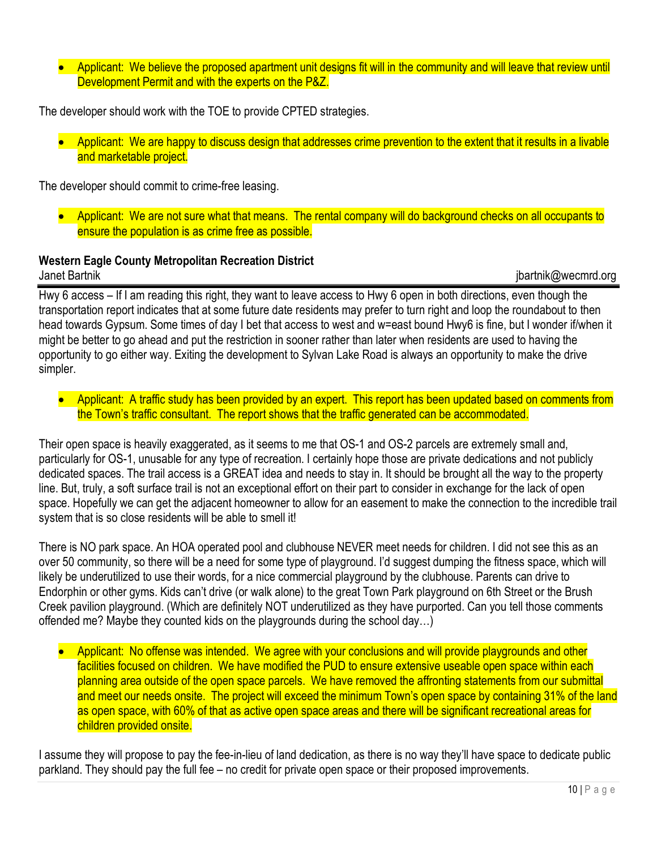• Applicant: We believe the proposed apartment unit designs fit will in the community and will leave that review until Development Permit and with the experts on the P&Z.

The developer should work with the TOE to provide CPTED strategies.

• Applicant: We are happy to discuss design that addresses crime prevention to the extent that it results in a livable and marketable project.

The developer should commit to crime-free leasing.

• Applicant: We are not sure what that means. The rental company will do background checks on all occupants to ensure the population is as crime free as possible.

#### **Western Eagle County Metropolitan Recreation District** Janet Bartnik jbartnik@wecmrd.org

Hwy 6 access – If I am reading this right, they want to leave access to Hwy 6 open in both directions, even though the transportation report indicates that at some future date residents may prefer to turn right and loop the roundabout to then head towards Gypsum. Some times of day I bet that access to west and w=east bound Hwy6 is fine, but I wonder if/when it might be better to go ahead and put the restriction in sooner rather than later when residents are used to having the opportunity to go either way. Exiting the development to Sylvan Lake Road is always an opportunity to make the drive simpler.

• Applicant: A traffic study has been provided by an expert. This report has been updated based on comments from the Town's traffic consultant. The report shows that the traffic generated can be accommodated.

Their open space is heavily exaggerated, as it seems to me that OS-1 and OS-2 parcels are extremely small and, particularly for OS-1, unusable for any type of recreation. I certainly hope those are private dedications and not publicly dedicated spaces. The trail access is a GREAT idea and needs to stay in. It should be brought all the way to the property line. But, truly, a soft surface trail is not an exceptional effort on their part to consider in exchange for the lack of open space. Hopefully we can get the adjacent homeowner to allow for an easement to make the connection to the incredible trail system that is so close residents will be able to smell it!

There is NO park space. An HOA operated pool and clubhouse NEVER meet needs for children. I did not see this as an over 50 community, so there will be a need for some type of playground. I'd suggest dumping the fitness space, which will likely be underutilized to use their words, for a nice commercial playground by the clubhouse. Parents can drive to Endorphin or other gyms. Kids can't drive (or walk alone) to the great Town Park playground on 6th Street or the Brush Creek pavilion playground. (Which are definitely NOT underutilized as they have purported. Can you tell those comments offended me? Maybe they counted kids on the playgrounds during the school day…)

• Applicant: No offense was intended. We agree with your conclusions and will provide playgrounds and other facilities focused on children. We have modified the PUD to ensure extensive useable open space within each planning area outside of the open space parcels. We have removed the affronting statements from our submittal and meet our needs onsite. The project will exceed the minimum Town's open space by containing 31% of the land as open space, with 60% of that as active open space areas and there will be significant recreational areas for children provided onsite.

I assume they will propose to pay the fee-in-lieu of land dedication, as there is no way they'll have space to dedicate public parkland. They should pay the full fee – no credit for private open space or their proposed improvements.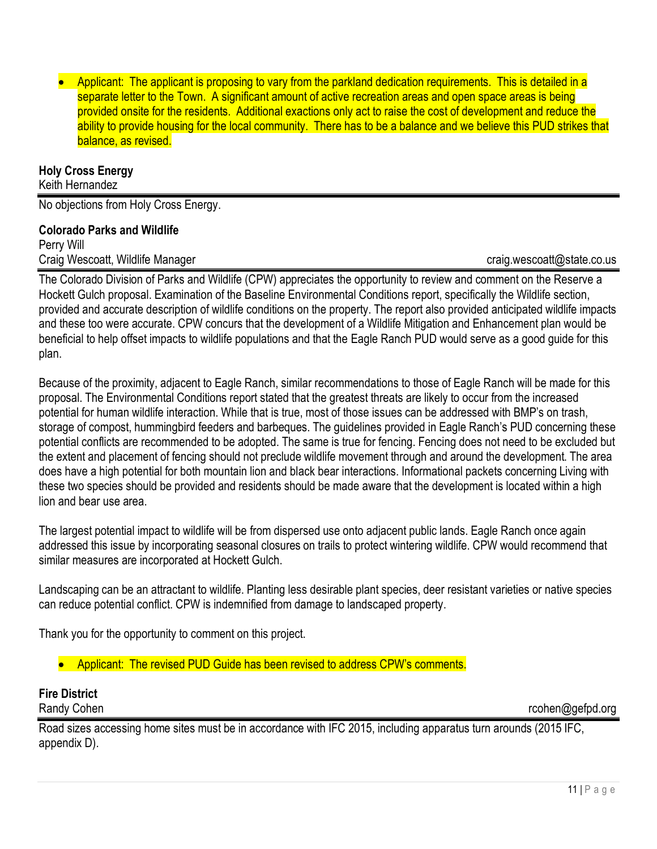• Applicant: The applicant is proposing to vary from the parkland dedication requirements. This is detailed in a separate letter to the Town. A significant amount of active recreation areas and open space areas is being provided onsite for the residents. Additional exactions only act to raise the cost of development and reduce the ability to provide housing for the local community. There has to be a balance and we believe this PUD strikes that balance, as revised.

#### **Holy Cross Energy**

Keith Hernandez

No objections from Holy Cross Energy.

#### **Colorado Parks and Wildlife**

Perry Will Craig Wescoatt, Wildlife Manager craig.wescoatt@state.co.us

The Colorado Division of Parks and Wildlife (CPW) appreciates the opportunity to review and comment on the Reserve a Hockett Gulch proposal. Examination of the Baseline Environmental Conditions report, specifically the Wildlife section, provided and accurate description of wildlife conditions on the property. The report also provided anticipated wildlife impacts and these too were accurate. CPW concurs that the development of a Wildlife Mitigation and Enhancement plan would be beneficial to help offset impacts to wildlife populations and that the Eagle Ranch PUD would serve as a good guide for this plan.

Because of the proximity, adjacent to Eagle Ranch, similar recommendations to those of Eagle Ranch will be made for this proposal. The Environmental Conditions report stated that the greatest threats are likely to occur from the increased potential for human wildlife interaction. While that is true, most of those issues can be addressed with BMP's on trash, storage of compost, hummingbird feeders and barbeques. The guidelines provided in Eagle Ranch's PUD concerning these potential conflicts are recommended to be adopted. The same is true for fencing. Fencing does not need to be excluded but the extent and placement of fencing should not preclude wildlife movement through and around the development. The area does have a high potential for both mountain lion and black bear interactions. Informational packets concerning Living with these two species should be provided and residents should be made aware that the development is located within a high lion and bear use area.

The largest potential impact to wildlife will be from dispersed use onto adjacent public lands. Eagle Ranch once again addressed this issue by incorporating seasonal closures on trails to protect wintering wildlife. CPW would recommend that similar measures are incorporated at Hockett Gulch.

Landscaping can be an attractant to wildlife. Planting less desirable plant species, deer resistant varieties or native species can reduce potential conflict. CPW is indemnified from damage to landscaped property.

Thank you for the opportunity to comment on this project.

• Applicant: The revised PUD Guide has been revised to address CPW's comments.

# **Fire District**

Randy Cohen **recohen and the contract of the contract of the contract of the cohen and contract of the cohen and contract of the cohen and contract of the cohen and contract of the cohen and contract of the cohen and contr** 

Road sizes accessing home sites must be in accordance with IFC 2015, including apparatus turn arounds (2015 IFC, appendix D).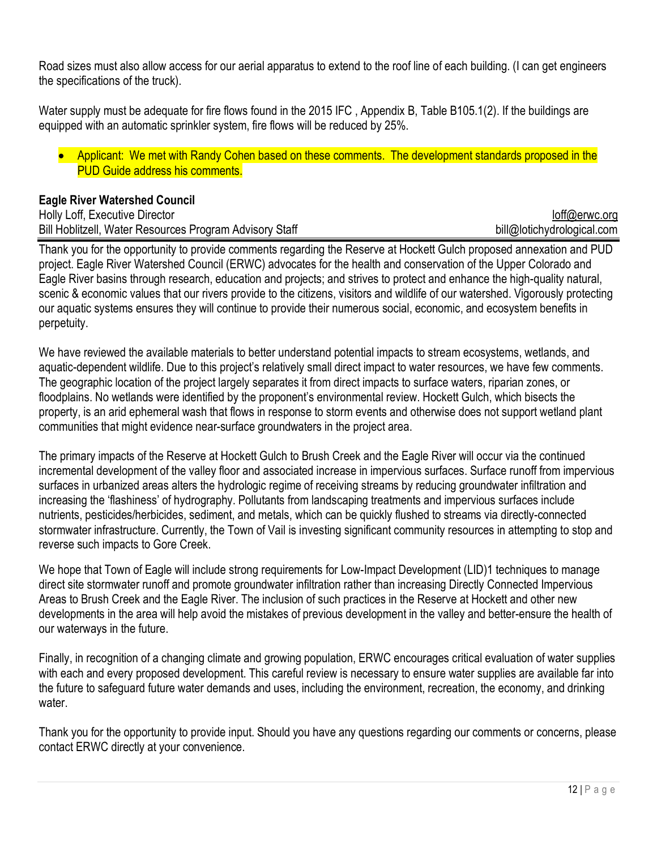Road sizes must also allow access for our aerial apparatus to extend to the roof line of each building. (I can get engineers the specifications of the truck).

Water supply must be adequate for fire flows found in the 2015 IFC , Appendix B, Table B105.1(2). If the buildings are equipped with an automatic sprinkler system, fire flows will be reduced by 25%.

• Applicant: We met with Randy Cohen based on these comments. The development standards proposed in the PUD Guide address his comments.

#### **Eagle River Watershed Council**

Holly Loff, Executive Director loff@erwc.org Bill Hoblitzell, Water Resources Program Advisory Staff bill and the state bill@lotichydrological.com

Thank you for the opportunity to provide comments regarding the Reserve at Hockett Gulch proposed annexation and PUD project. Eagle River Watershed Council (ERWC) advocates for the health and conservation of the Upper Colorado and Eagle River basins through research, education and projects; and strives to protect and enhance the high-quality natural, scenic & economic values that our rivers provide to the citizens, visitors and wildlife of our watershed. Vigorously protecting our aquatic systems ensures they will continue to provide their numerous social, economic, and ecosystem benefits in perpetuity.

We have reviewed the available materials to better understand potential impacts to stream ecosystems, wetlands, and aquatic-dependent wildlife. Due to this project's relatively small direct impact to water resources, we have few comments. The geographic location of the project largely separates it from direct impacts to surface waters, riparian zones, or floodplains. No wetlands were identified by the proponent's environmental review. Hockett Gulch, which bisects the property, is an arid ephemeral wash that flows in response to storm events and otherwise does not support wetland plant communities that might evidence near-surface groundwaters in the project area.

The primary impacts of the Reserve at Hockett Gulch to Brush Creek and the Eagle River will occur via the continued incremental development of the valley floor and associated increase in impervious surfaces. Surface runoff from impervious surfaces in urbanized areas alters the hydrologic regime of receiving streams by reducing groundwater infiltration and increasing the 'flashiness' of hydrography. Pollutants from landscaping treatments and impervious surfaces include nutrients, pesticides/herbicides, sediment, and metals, which can be quickly flushed to streams via directly-connected stormwater infrastructure. Currently, the Town of Vail is investing significant community resources in attempting to stop and reverse such impacts to Gore Creek.

We hope that Town of Eagle will include strong requirements for Low-Impact Development (LID)1 techniques to manage direct site stormwater runoff and promote groundwater infiltration rather than increasing Directly Connected Impervious Areas to Brush Creek and the Eagle River. The inclusion of such practices in the Reserve at Hockett and other new developments in the area will help avoid the mistakes of previous development in the valley and better-ensure the health of our waterways in the future.

Finally, in recognition of a changing climate and growing population, ERWC encourages critical evaluation of water supplies with each and every proposed development. This careful review is necessary to ensure water supplies are available far into the future to safeguard future water demands and uses, including the environment, recreation, the economy, and drinking water.

Thank you for the opportunity to provide input. Should you have any questions regarding our comments or concerns, please contact ERWC directly at your convenience.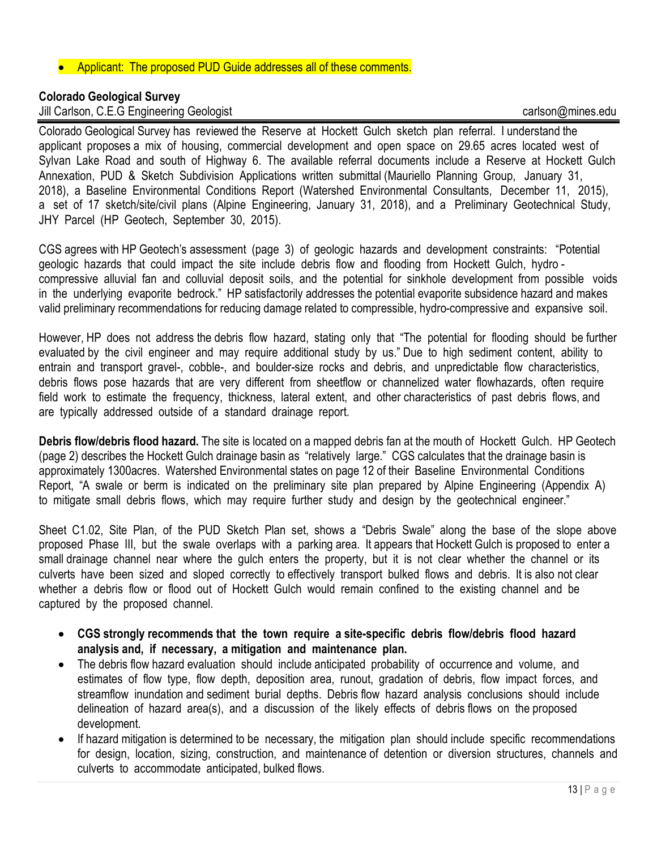#### • Applicant: The proposed PUD Guide addresses all of these comments.

#### **Colorado Geological Survey**

Jill Carlson, C.E.G Engineering Geologist carlson@mines.edu

Colorado Geological Survey has reviewed the Reserve at Hockett Gulch sketch plan referral. I understand the applicant proposes a mix of housing, commercial development and open space on 29.65 acres located west of Sylvan Lake Road and south of Highway 6. The available referral documents include a Reserve at Hockett Gulch Annexation, PUD & Sketch Subdivision Applications written submittal (Mauriello Planning Group, January 31, 2018), a Baseline Environmental Conditions Report (Watershed Environmental Consultants, December 11, 2015), a set of 17 sketch/site/civil plans (Alpine Engineering, January 31, 2018), and a Preliminary Geotechnical Study, JHY Parcel (HP Geotech, September 30, 2015).

CGS agrees with HP Geotech's assessment (page 3) of geologic hazards and development constraints: "Potential geologic hazards that could impact the site include debris flow and flooding from Hockett Gulch, hydro compressive alluvial fan and colluvial deposit soils, and the potential for sinkhole development from possible voids in the underlying evaporite bedrock." HP satisfactorily addresses the potential evaporite subsidence hazard and makes valid preliminary recommendations for reducing damage related to compressible, hydro-compressive and expansive soil.

However, HP does not address the debris flow hazard, stating only that "The potential for flooding should be further evaluated by the civil engineer and may require additional study by us." Due to high sediment content, ability to entrain and transport gravel-, cobble-, and boulder-size rocks and debris, and unpredictable flow characteristics, debris flows pose hazards that are very different from sheetflow or channelized water flowhazards, often require field work to estimate the frequency, thickness, lateral extent, and other characteristics of past debris flows, and are typically addressed outside of a standard drainage report.

**Debris flow/debris flood hazard.** The site is located on a mapped debris fan at the mouth of Hockett Gulch. HP Geotech (page 2) describes the Hockett Gulch drainage basin as "relatively large." CGS calculates that the drainage basin is approximately 1300acres. Watershed Environmental states on page 12 of their Baseline Environmental Conditions Report, "A swale or berm is indicated on the preliminary site plan prepared by Alpine Engineering (Appendix A) to mitigate small debris flows, which may require further study and design by the geotechnical engineer."

Sheet C1.02, Site Plan, of the PUD Sketch Plan set, shows a "Debris Swale" along the base of the slope above proposed Phase III, but the swale overlaps with a parking area. It appears that Hockett Gulch is proposed to enter a small drainage channel near where the gulch enters the property, but it is not clear whether the channel or its culverts have been sized and sloped correctly to effectively transport bulked flows and debris. It is also not clear whether a debris flow or flood out of Hockett Gulch would remain confined to the existing channel and be captured by the proposed channel.

- **CGS strongly recommends that the town require a site-specific debris flow/debris flood hazard analysis and, if necessary, a mitigation and maintenance plan.**
- The debris flow hazard evaluation should include anticipated probability of occurrence and volume, and estimates of flow type, flow depth, deposition area, runout, gradation of debris, flow impact forces, and streamflow inundation and sediment burial depths. Debris flow hazard analysis conclusions should include delineation of hazard area(s), and a discussion of the likely effects of debris flows on the proposed development.
- If hazard mitigation is determined to be necessary, the mitigation plan should include specific recommendations for design, location, sizing, construction, and maintenance of detention or diversion structures, channels and culverts to accommodate anticipated, bulked flows.